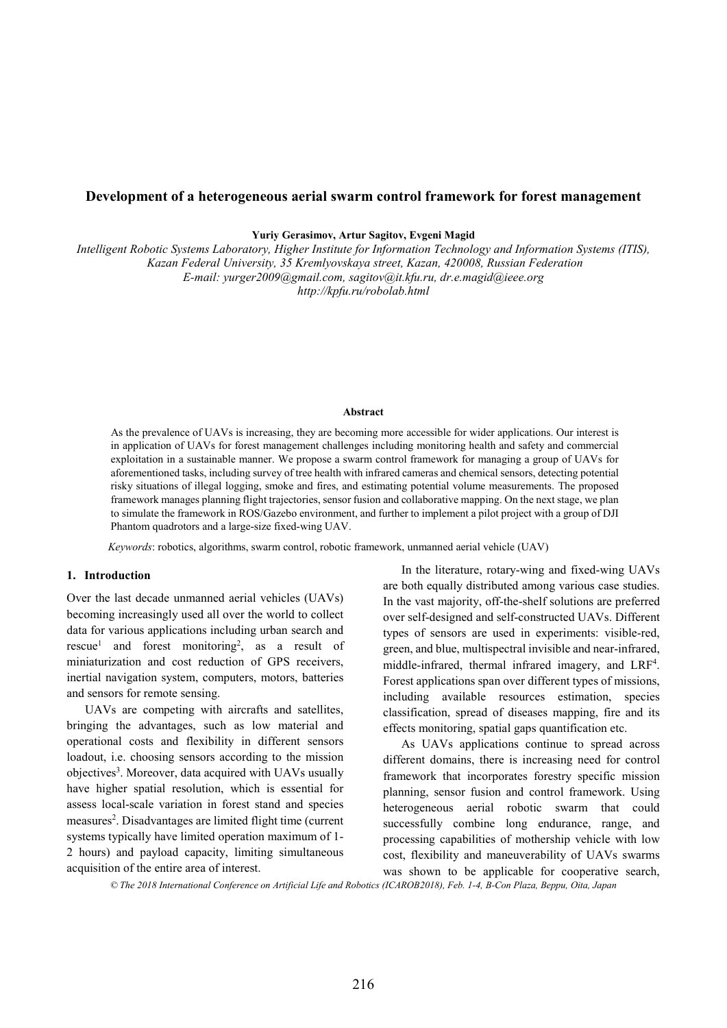# **Development of a heterogeneous aerial swarm control framework for forest management**

**Yuriy Gerasimov, Artur Sagitov, Evgeni Magid** 

*Intelligent Robotic Systems Laboratory, Higher Institute for Information Technology and Information Systems (ITIS), Kazan Federal University, 35 Kremlyovskaya street, Kazan, 420008, Russian Federation E-mail: yurger2009@gmail.com, sagitov@it.kfu.ru, dr.e.magid@ieee.org http://kpfu.ru/robolab.html* 

#### **Abstract**

 As the prevalence of UAVs is increasing, they are becoming more accessible for wider applications. Our interest is in application of UAVs for forest management challenges including monitoring health and safety and commercial exploitation in a sustainable manner. We propose a swarm control framework for managing a group of UAVs for aforementioned tasks, including survey of tree health with infrared cameras and chemical sensors, detecting potential risky situations of illegal logging, smoke and fires, and estimating potential volume measurements. The proposed framework manages planning flight trajectories, sensor fusion and collaborative mapping. On the next stage, we plan to simulate the framework in ROS/Gazebo environment, and further to implement a pilot project with a group of DJI Phantom quadrotors and a large-size fixed-wing UAV.

*Keywords*: robotics, algorithms, swarm control, robotic framework, unmanned aerial vehicle (UAV)

### **1. Introduction**

Over the last decade unmanned aerial vehicles (UAVs) becoming increasingly used all over the world to collect data for various applications including urban search and rescue<sup>1</sup> and forest monitoring<sup>2</sup>, as a result of miniaturization and cost reduction of GPS receivers, inertial navigation system, computers, motors, batteries and sensors for remote sensing.

UAVs are competing with aircrafts and satellites, bringing the advantages, such as low material and operational costs and flexibility in different sensors loadout, i.e. choosing sensors according to the mission objectives<sup>3</sup>. Moreover, data acquired with UAVs usually have higher spatial resolution, which is essential for assess local-scale variation in forest stand and species measures<sup>2</sup>. Disadvantages are limited flight time (current systems typically have limited operation maximum of 1- 2 hours) and payload capacity, limiting simultaneous acquisition of the entire area of interest.

In the literature, rotary-wing and fixed-wing UAVs are both equally distributed among various case studies. In the vast majority, off-the-shelf solutions are preferred over self-designed and self-constructed UAVs. Different types of sensors are used in experiments: visible-red, green, and blue, multispectral invisible and near-infrared, middle-infrared, thermal infrared imagery, and LRF<sup>4</sup>. Forest applications span over different types of missions, including available resources estimation, species classification, spread of diseases mapping, fire and its effects monitoring, spatial gaps quantification etc.

As UAVs applications continue to spread across different domains, there is increasing need for control framework that incorporates forestry specific mission planning, sensor fusion and control framework. Using heterogeneous aerial robotic swarm that could successfully combine long endurance, range, and processing capabilities of mothership vehicle with low cost, flexibility and maneuverability of UAVs swarms was shown to be applicable for cooperative search,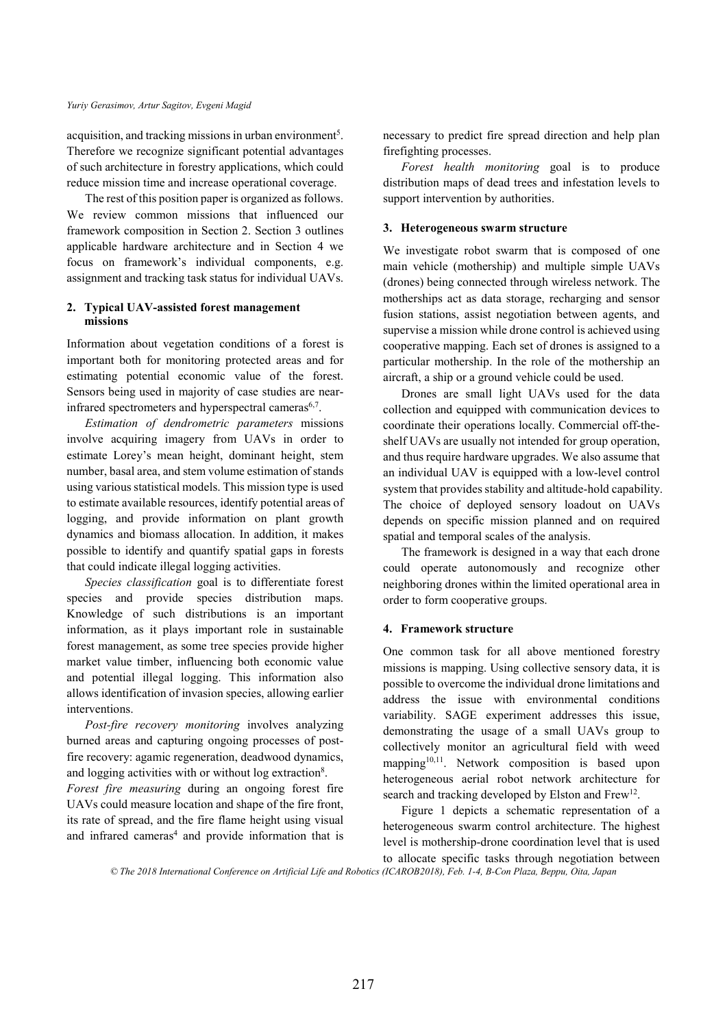acquisition, and tracking missions in urban environment<sup>5</sup>. Therefore we recognize significant potential advantages of such architecture in forestry applications, which could reduce mission time and increase operational coverage.

The rest of this position paper is organized as follows. We review common missions that influenced our framework composition in Section 2. Section 3 outlines applicable hardware architecture and in Section 4 we focus on framework's individual components, e.g. assignment and tracking task status for individual UAVs.

## **2. Typical UAV-assisted forest management missions**

Information about vegetation conditions of a forest is important both for monitoring protected areas and for estimating potential economic value of the forest. Sensors being used in majority of case studies are nearinfrared spectrometers and hyperspectral cameras<sup>6,7</sup>.

*Estimation of dendrometric parameters* missions involve acquiring imagery from UAVs in order to estimate Lorey's mean height, dominant height, stem number, basal area, and stem volume estimation of stands using various statistical models. This mission type is used to estimate available resources, identify potential areas of logging, and provide information on plant growth dynamics and biomass allocation. In addition, it makes possible to identify and quantify spatial gaps in forests that could indicate illegal logging activities.

*Species classification* goal is to differentiate forest species and provide species distribution maps. Knowledge of such distributions is an important information, as it plays important role in sustainable forest management, as some tree species provide higher market value timber, influencing both economic value and potential illegal logging. This information also allows identification of invasion species, allowing earlier interventions.

*Post-fire recovery monitoring* involves analyzing burned areas and capturing ongoing processes of postfire recovery: agamic regeneration, deadwood dynamics, and logging activities with or without log extraction<sup>8</sup>.

*Forest fire measuring* during an ongoing forest fire UAVs could measure location and shape of the fire front, its rate of spread, and the fire flame height using visual and infrared cameras<sup>4</sup> and provide information that is necessary to predict fire spread direction and help plan firefighting processes.

*Forest health monitoring* goal is to produce distribution maps of dead trees and infestation levels to support intervention by authorities.

## **3. Heterogeneous swarm structure**

We investigate robot swarm that is composed of one main vehicle (mothership) and multiple simple UAVs (drones) being connected through wireless network. The motherships act as data storage, recharging and sensor fusion stations, assist negotiation between agents, and supervise a mission while drone control is achieved using cooperative mapping. Each set of drones is assigned to a particular mothership. In the role of the mothership an aircraft, a ship or a ground vehicle could be used.

Drones are small light UAVs used for the data collection and equipped with communication devices to coordinate their operations locally. Commercial off-theshelf UAVs are usually not intended for group operation, and thus require hardware upgrades. We also assume that an individual UAV is equipped with a low-level control system that provides stability and altitude-hold capability. The choice of deployed sensory loadout on UAVs depends on specific mission planned and on required spatial and temporal scales of the analysis.

The framework is designed in a way that each drone could operate autonomously and recognize other neighboring drones within the limited operational area in order to form cooperative groups.

## **4. Framework structure**

One common task for all above mentioned forestry missions is mapping. Using collective sensory data, it is possible to overcome the individual drone limitations and address the issue with environmental conditions variability. SAGE experiment addresses this issue, demonstrating the usage of a small UAVs group to collectively monitor an agricultural field with weed mapping<sup>10,11</sup>. Network composition is based upon heterogeneous aerial robot network architecture for search and tracking developed by Elston and Frew<sup>12</sup>.

Figure 1 depicts a schematic representation of a heterogeneous swarm control architecture. The highest level is mothership-drone coordination level that is used to allocate specific tasks through negotiation between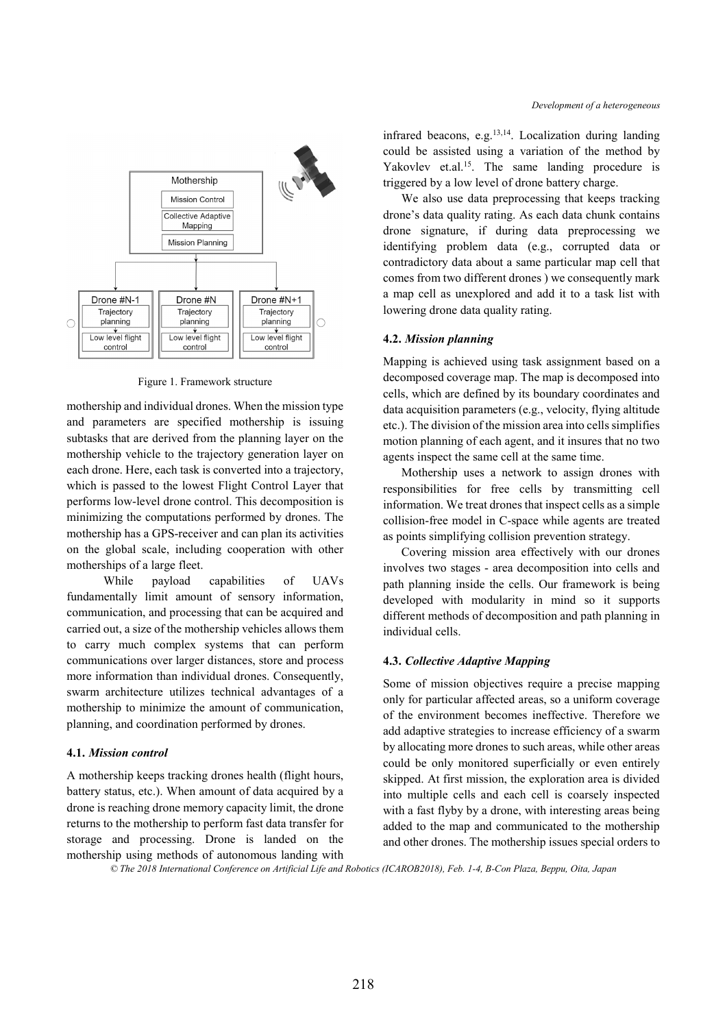

Figure 1. Framework structure

mothership and individual drones. When the mission type and parameters are specified mothership is issuing subtasks that are derived from the planning layer on the mothership vehicle to the trajectory generation layer on each drone. Here, each task is converted into a trajectory, which is passed to the lowest Flight Control Layer that performs low-level drone control. This decomposition is minimizing the computations performed by drones. The mothership has a GPS-receiver and can plan its activities on the global scale, including cooperation with other motherships of a large fleet.

While payload capabilities of UAVs fundamentally limit amount of sensory information, communication, and processing that can be acquired and carried out, a size of the mothership vehicles allows them to carry much complex systems that can perform communications over larger distances, store and process more information than individual drones. Consequently, swarm architecture utilizes technical advantages of a mothership to minimize the amount of communication, planning, and coordination performed by drones.

### **4.1.** *Mission control*

A mothership keeps tracking drones health (flight hours, battery status, etc.). When amount of data acquired by a drone is reaching drone memory capacity limit, the drone returns to the mothership to perform fast data transfer for storage and processing. Drone is landed on the mothership using methods of autonomous landing with infrared beacons, e.g. $^{13,14}$ . Localization during landing could be assisted using a variation of the method by Yakovlev et.al.<sup>15</sup>. The same landing procedure is triggered by a low level of drone battery charge.

We also use data preprocessing that keeps tracking drone's data quality rating. As each data chunk contains drone signature, if during data preprocessing we identifying problem data (e.g., corrupted data or contradictory data about a same particular map cell that comes from two different drones ) we consequently mark a map cell as unexplored and add it to a task list with lowering drone data quality rating.

## **4.2.** *Mission planning*

Mapping is achieved using task assignment based on a decomposed coverage map. The map is decomposed into cells, which are defined by its boundary coordinates and data acquisition parameters (e.g., velocity, flying altitude etc.). The division of the mission area into cells simplifies motion planning of each agent, and it insures that no two agents inspect the same cell at the same time.

Mothership uses a network to assign drones with responsibilities for free cells by transmitting cell information. We treat drones that inspect cells as a simple collision-free model in C-space while agents are treated as points simplifying collision prevention strategy.

Covering mission area effectively with our drones involves two stages - area decomposition into cells and path planning inside the cells. Our framework is being developed with modularity in mind so it supports different methods of decomposition and path planning in individual cells.

### **4.3.** *Collective Adaptive Mapping*

Some of mission objectives require a precise mapping only for particular affected areas, so a uniform coverage of the environment becomes ineffective. Therefore we add adaptive strategies to increase efficiency of a swarm by allocating more drones to such areas, while other areas could be only monitored superficially or even entirely skipped. At first mission, the exploration area is divided into multiple cells and each cell is coarsely inspected with a fast flyby by a drone, with interesting areas being added to the map and communicated to the mothership and other drones. The mothership issues special orders to